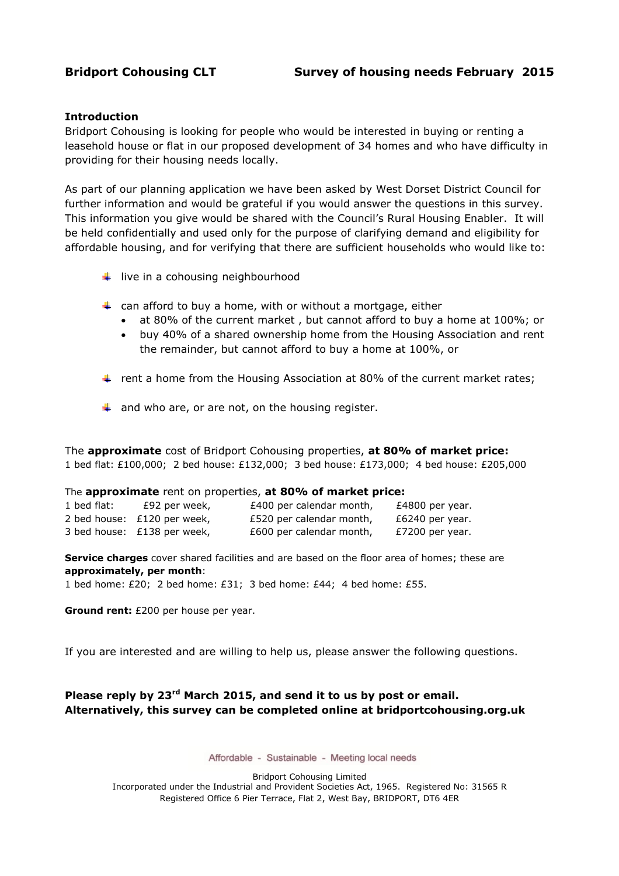### **Introduction**

Bridport Cohousing is looking for people who would be interested in buying or renting a leasehold house or flat in our proposed development of 34 homes and who have difficulty in providing for their housing needs locally.

As part of our planning application we have been asked by West Dorset District Council for further information and would be grateful if you would answer the questions in this survey. This information you give would be shared with the Council's Rural Housing Enabler. It will be held confidentially and used only for the purpose of clarifying demand and eligibility for affordable housing, and for verifying that there are sufficient households who would like to:

- $\downarrow$  live in a cohousing neighbourhood
- $\ddot{\phantom{1}}$  can afford to buy a home, with or without a mortgage, either
	- at 80% of the current market , but cannot afford to buy a home at 100%; or
	- buy 40% of a shared ownership home from the Housing Association and rent the remainder, but cannot afford to buy a home at 100%, or
- Frent a home from the Housing Association at 80% of the current market rates;
- $\downarrow$  and who are, or are not, on the housing register.

The **approximate** cost of Bridport Cohousing properties, **at 80% of market price:** 1 bed flat: £100,000; 2 bed house: £132,000; 3 bed house: £173,000; 4 bed house: £205,000

#### The **approximate** rent on properties, **at 80% of market price:**

| 1 bed flat: | £92 per week,               | £400 per calendar month, | £4800 per year. |
|-------------|-----------------------------|--------------------------|-----------------|
|             | 2 bed house: £120 per week, | £520 per calendar month, | £6240 per year. |
|             | 3 bed house: £138 per week, | £600 per calendar month, | £7200 per year. |

**Service charges** cover shared facilities and are based on the floor area of homes; these are **approximately, per month**:

1 bed home: £20; 2 bed home: £31; 3 bed home: £44; 4 bed home: £55.

**Ground rent:** £200 per house per year.

If you are interested and are willing to help us, please answer the following questions.

## **Please reply by 23 rd March 2015, and send it to us by post or email. Alternatively, this survey can be completed online at bridportcohousing.org.uk**

Affordable - Sustainable - Meeting local needs

Bridport Cohousing Limited Incorporated under the Industrial and Provident Societies Act, 1965. Registered No: 31565 R Registered Office 6 Pier Terrace, Flat 2, West Bay, BRIDPORT, DT6 4ER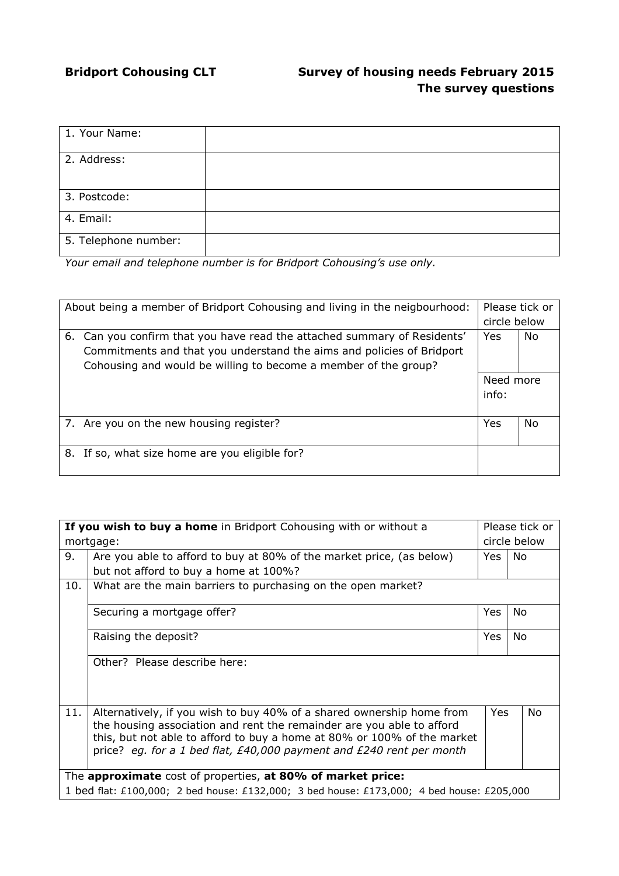# **Bridport Cohousing CLT Survey of housing needs February 2015 The survey questions**

| 1. Your Name:        |  |
|----------------------|--|
| 2. Address:          |  |
|                      |  |
| 3. Postcode:         |  |
| 4. Email:            |  |
| 5. Telephone number: |  |

*Your email and telephone number is for Bridport Cohousing's use only.*

| About being a member of Bridport Cohousing and living in the neigbourhood: |                                                                                                                                                                                                                      |            | Please tick or<br>circle below |  |
|----------------------------------------------------------------------------|----------------------------------------------------------------------------------------------------------------------------------------------------------------------------------------------------------------------|------------|--------------------------------|--|
|                                                                            | 6. Can you confirm that you have read the attached summary of Residents'<br>Commitments and that you understand the aims and policies of Bridport<br>Cohousing and would be willing to become a member of the group? | <b>Yes</b> | No                             |  |
|                                                                            |                                                                                                                                                                                                                      | Need more  |                                |  |
|                                                                            |                                                                                                                                                                                                                      | info:      |                                |  |
|                                                                            | 7. Are you on the new housing register?                                                                                                                                                                              | Yes        | No                             |  |
|                                                                            | 8. If so, what size home are you eligible for?                                                                                                                                                                       |            |                                |  |

| If you wish to buy a home in Bridport Cohousing with or without a                         |                                                                                                                                                                                                                                                                                                                                  |            | Please tick or |  |
|-------------------------------------------------------------------------------------------|----------------------------------------------------------------------------------------------------------------------------------------------------------------------------------------------------------------------------------------------------------------------------------------------------------------------------------|------------|----------------|--|
| mortgage:                                                                                 |                                                                                                                                                                                                                                                                                                                                  |            | circle below   |  |
| 9.                                                                                        | Are you able to afford to buy at 80% of the market price, (as below)                                                                                                                                                                                                                                                             | Yes        | No             |  |
|                                                                                           | but not afford to buy a home at 100%?                                                                                                                                                                                                                                                                                            |            |                |  |
| 10.                                                                                       | What are the main barriers to purchasing on the open market?                                                                                                                                                                                                                                                                     |            |                |  |
|                                                                                           | Securing a mortgage offer?                                                                                                                                                                                                                                                                                                       | Yes        | No             |  |
|                                                                                           | Raising the deposit?                                                                                                                                                                                                                                                                                                             | <b>Yes</b> | No.            |  |
|                                                                                           | Other? Please describe here:                                                                                                                                                                                                                                                                                                     |            |                |  |
| 11.                                                                                       | Alternatively, if you wish to buy 40% of a shared ownership home from<br><b>Yes</b><br><b>No</b><br>the housing association and rent the remainder are you able to afford<br>this, but not able to afford to buy a home at 80% or 100% of the market<br>price? eq. for a 1 bed flat, $E40,000$ payment and $E240$ rent per month |            |                |  |
| The approximate cost of properties, at 80% of market price:                               |                                                                                                                                                                                                                                                                                                                                  |            |                |  |
| 1 bed flat: £100,000; 2 bed house: £132,000; 3 bed house: £173,000; 4 bed house: £205,000 |                                                                                                                                                                                                                                                                                                                                  |            |                |  |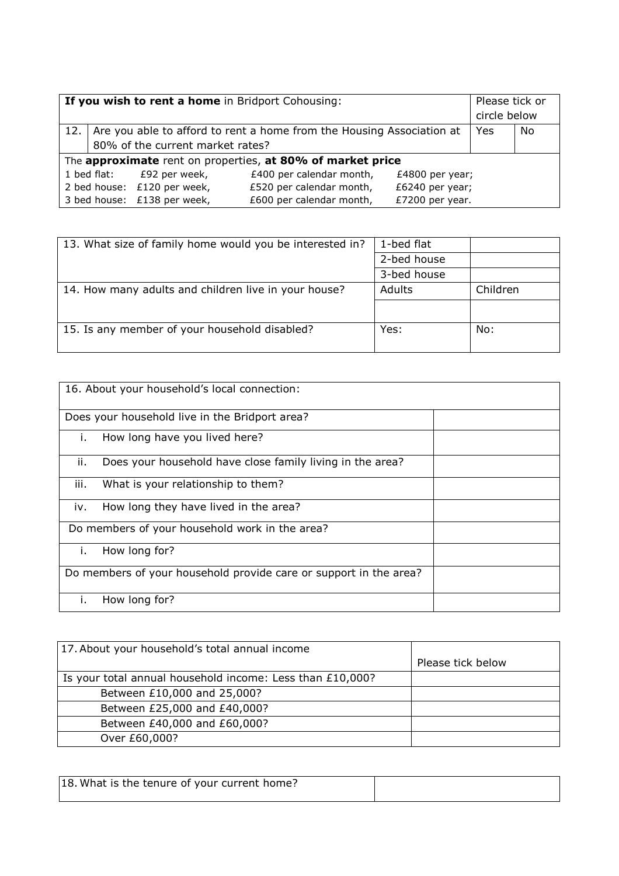| If you wish to rent a home in Bridport Cohousing: |                                                                             |                                  |                          | Please tick or<br>circle below |    |  |
|---------------------------------------------------|-----------------------------------------------------------------------------|----------------------------------|--------------------------|--------------------------------|----|--|
|                                                   | 12.   Are you able to afford to rent a home from the Housing Association at |                                  |                          | Yes                            | No |  |
|                                                   |                                                                             | 80% of the current market rates? |                          |                                |    |  |
|                                                   | The approximate rent on properties, at 80% of market price                  |                                  |                          |                                |    |  |
|                                                   |                                                                             | 1 bed flat: £92 per week,        | £400 per calendar month, | £4800 per year;                |    |  |
|                                                   |                                                                             | 2 bed house: £120 per week,      | £520 per calendar month, | £6240 per year;                |    |  |
|                                                   |                                                                             | 3 bed house: £138 per week,      | £600 per calendar month, | £7200 per year.                |    |  |

| 1-bed flat  |          |
|-------------|----------|
| 2-bed house |          |
| 3-bed house |          |
| Adults      | Children |
|             |          |
| Yes:        | No:      |
|             |          |

| 16. About your household's local connection:                      |                                                           |  |  |
|-------------------------------------------------------------------|-----------------------------------------------------------|--|--|
|                                                                   | Does your household live in the Bridport area?            |  |  |
| İ.                                                                | How long have you lived here?                             |  |  |
| ii.                                                               | Does your household have close family living in the area? |  |  |
| iii.                                                              | What is your relationship to them?                        |  |  |
| iv.                                                               | How long they have lived in the area?                     |  |  |
| Do members of your household work in the area?                    |                                                           |  |  |
| Ĺ.                                                                | How long for?                                             |  |  |
| Do members of your household provide care or support in the area? |                                                           |  |  |
| Τ.                                                                | How long for?                                             |  |  |

| 17. About your household's total annual income            |                   |
|-----------------------------------------------------------|-------------------|
|                                                           | Please tick below |
| Is your total annual household income: Less than £10,000? |                   |
| Between £10,000 and 25,000?                               |                   |
| Between £25,000 and £40,000?                              |                   |
| Between £40,000 and £60,000?                              |                   |
| Over £60,000?                                             |                   |

| 18. What is the tenure of your current home? |  |
|----------------------------------------------|--|
|                                              |  |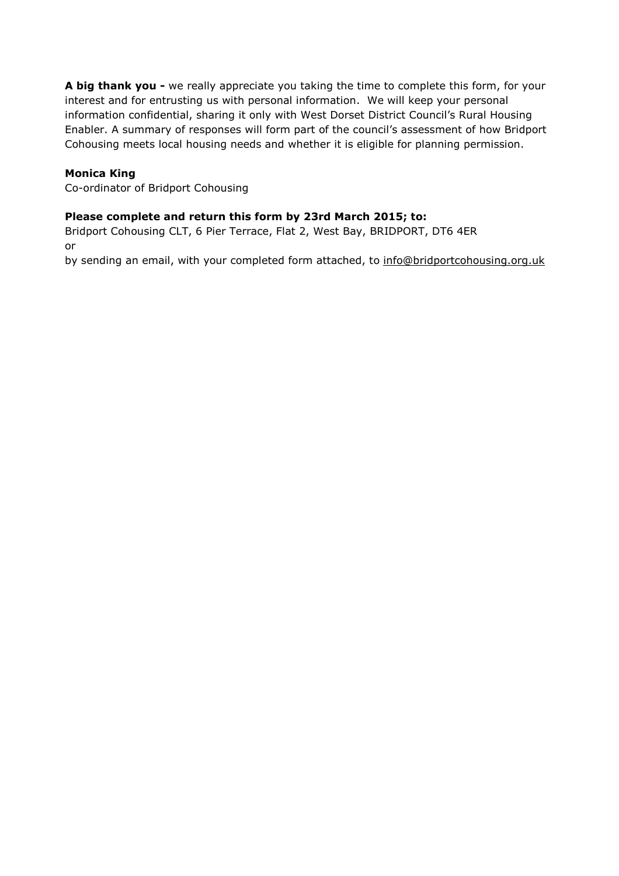**A big thank you -** we really appreciate you taking the time to complete this form, for your interest and for entrusting us with personal information. We will keep your personal information confidential, sharing it only with West Dorset District Council's Rural Housing Enabler. A summary of responses will form part of the council's assessment of how Bridport Cohousing meets local housing needs and whether it is eligible for planning permission.

## **Monica King**

Co-ordinator of Bridport Cohousing

## **Please complete and return this form by 23rd March 2015; to:**

Bridport Cohousing CLT, 6 Pier Terrace, Flat 2, West Bay, BRIDPORT, DT6 4ER or

by sending an email, with your completed form attached, to [info@bridportcohousing.org.uk](mailto:info@bridportcohousing.org.uk)